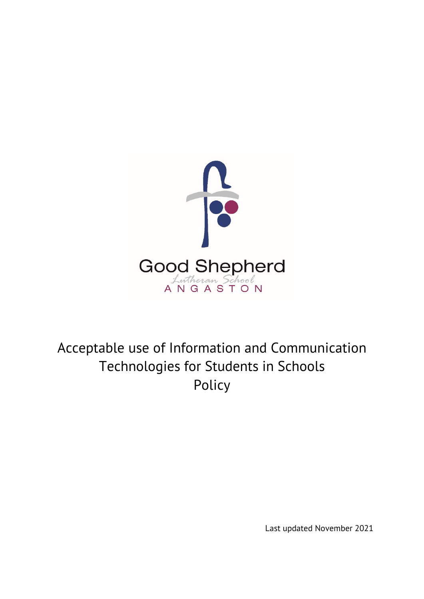

# Acceptable use of Information and Communication Technologies for Students in Schools Policy

Last updated November 2021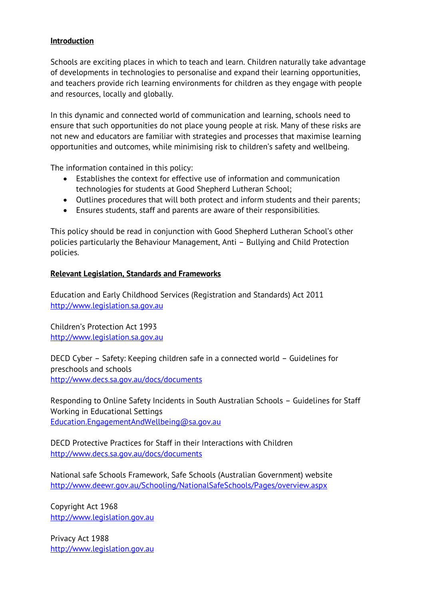#### **Introduction**

Schools are exciting places in which to teach and learn. Children naturally take advantage of developments in technologies to personalise and expand their learning opportunities, and teachers provide rich learning environments for children as they engage with people and resources, locally and globally.

In this dynamic and connected world of communication and learning, schools need to ensure that such opportunities do not place young people at risk. Many of these risks are not new and educators are familiar with strategies and processes that maximise learning opportunities and outcomes, while minimising risk to children's safety and wellbeing.

The information contained in this policy:

- Establishes the context for effective use of information and communication technologies for students at Good Shepherd Lutheran School;
- Outlines procedures that will both protect and inform students and their parents;
- Ensures students, staff and parents are aware of their responsibilities.

This policy should be read in conjunction with Good Shepherd Lutheran School's other policies particularly the Behaviour Management, Anti – Bullying and Child Protection policies.

#### **Relevant Legislation, Standards and Frameworks**

Education and Early Childhood Services (Registration and Standards) Act 2011 [http://www.legislation.sa.gov.au](http://www.legislation.sa.gov.au/)

Children's Protection Act 1993 [http://www.legislation.sa.gov.au](http://www.legislation.sa.gov.au/)

DECD Cyber – Safety: Keeping children safe in a connected world – Guidelines for preschools and schools <http://www.decs.sa.gov.au/docs/documents>

Responding to Online Safety Incidents in South Australian Schools – Guidelines for Staff Working in Educational Settings [Education.EngagementAndWellbeing@sa.gov.au](mailto:Education.EngagementAndWellbeing@sa.gov.au)

DECD Protective Practices for Staff in their Interactions with Children <http://www.decs.sa.gov.au/docs/documents>

National safe Schools Framework, Safe Schools (Australian Government) website <http://www.deewr.gov.au/Schooling/NationalSafeSchools/Pages/overview.aspx>

Copyright Act 1968 [http://www.legislation.gov.au](http://www.legislation.gov.au/)

Privacy Act 1988 [http://www.legislation.gov.au](http://www.legislation.gov.au/)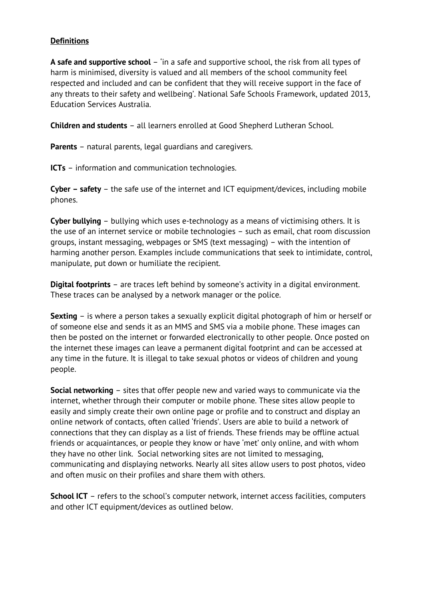#### **Definitions**

**A safe and supportive school** – 'in a safe and supportive school, the risk from all types of harm is minimised, diversity is valued and all members of the school community feel respected and included and can be confident that they will receive support in the face of any threats to their safety and wellbeing'. National Safe Schools Framework, updated 2013, Education Services Australia.

**Children and students** – all learners enrolled at Good Shepherd Lutheran School.

**Parents** – natural parents, legal guardians and caregivers.

**ICTs** – information and communication technologies.

**Cyber – safety** – the safe use of the internet and ICT equipment/devices, including mobile phones.

**Cyber bullying** – bullying which uses e-technology as a means of victimising others. It is the use of an internet service or mobile technologies – such as email, chat room discussion groups, instant messaging, webpages or SMS (text messaging) – with the intention of harming another person. Examples include communications that seek to intimidate, control, manipulate, put down or humiliate the recipient.

**Digital footprints** – are traces left behind by someone's activity in a digital environment. These traces can be analysed by a network manager or the police.

**Sexting** – is where a person takes a sexually explicit digital photograph of him or herself or of someone else and sends it as an MMS and SMS via a mobile phone. These images can then be posted on the internet or forwarded electronically to other people. Once posted on the internet these images can leave a permanent digital footprint and can be accessed at any time in the future. It is illegal to take sexual photos or videos of children and young people.

**Social networking** – sites that offer people new and varied ways to communicate via the internet, whether through their computer or mobile phone. These sites allow people to easily and simply create their own online page or profile and to construct and display an online network of contacts, often called 'friends'. Users are able to build a network of connections that they can display as a list of friends. These friends may be offline actual friends or acquaintances, or people they know or have 'met' only online, and with whom they have no other link. Social networking sites are not limited to messaging, communicating and displaying networks. Nearly all sites allow users to post photos, video and often music on their profiles and share them with others.

**School ICT** – refers to the school's computer network, internet access facilities, computers and other ICT equipment/devices as outlined below.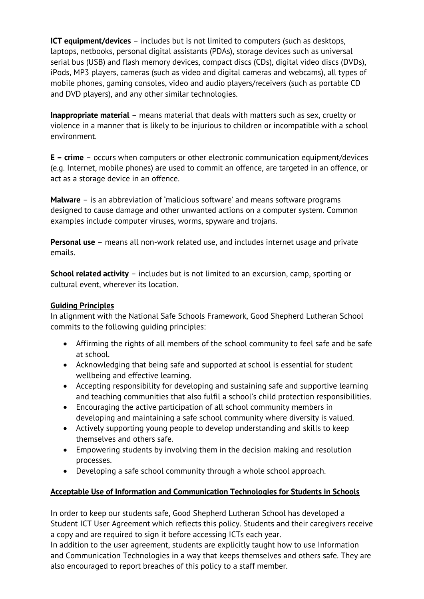**ICT equipment/devices** – includes but is not limited to computers (such as desktops, laptops, netbooks, personal digital assistants (PDAs), storage devices such as universal serial bus (USB) and flash memory devices, compact discs (CDs), digital video discs (DVDs), iPods, MP3 players, cameras (such as video and digital cameras and webcams), all types of mobile phones, gaming consoles, video and audio players/receivers (such as portable CD and DVD players), and any other similar technologies.

**Inappropriate material** – means material that deals with matters such as sex, cruelty or violence in a manner that is likely to be injurious to children or incompatible with a school environment.

**E – crime** – occurs when computers or other electronic communication equipment/devices (e.g. Internet, mobile phones) are used to commit an offence, are targeted in an offence, or act as a storage device in an offence.

**Malware** – is an abbreviation of 'malicious software' and means software programs designed to cause damage and other unwanted actions on a computer system. Common examples include computer viruses, worms, spyware and trojans.

**Personal use** – means all non-work related use, and includes internet usage and private emails.

**School related activity** – includes but is not limited to an excursion, camp, sporting or cultural event, wherever its location.

# **Guiding Principles**

In alignment with the National Safe Schools Framework, Good Shepherd Lutheran School commits to the following guiding principles:

- Affirming the rights of all members of the school community to feel safe and be safe at school.
- Acknowledging that being safe and supported at school is essential for student wellbeing and effective learning.
- Accepting responsibility for developing and sustaining safe and supportive learning and teaching communities that also fulfil a school's child protection responsibilities.
- Encouraging the active participation of all school community members in developing and maintaining a safe school community where diversity is valued.
- Actively supporting young people to develop understanding and skills to keep themselves and others safe.
- Empowering students by involving them in the decision making and resolution processes.
- Developing a safe school community through a whole school approach.

# **Acceptable Use of Information and Communication Technologies for Students in Schools**

In order to keep our students safe, Good Shepherd Lutheran School has developed a Student ICT User Agreement which reflects this policy. Students and their caregivers receive a copy and are required to sign it before accessing ICTs each year.

In addition to the user agreement, students are explicitly taught how to use Information and Communication Technologies in a way that keeps themselves and others safe. They are also encouraged to report breaches of this policy to a staff member.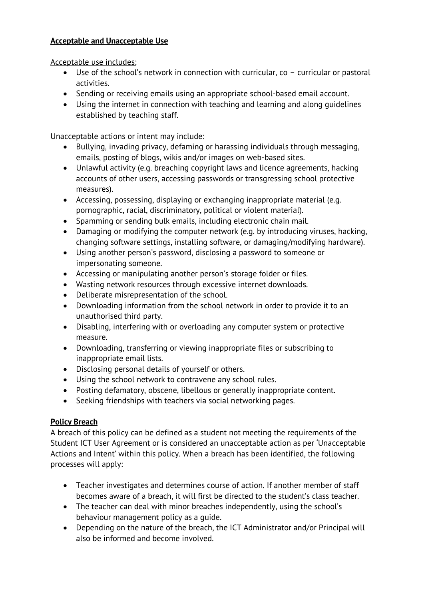## **Acceptable and Unacceptable Use**

Acceptable use includes:

- Use of the school's network in connection with curricular, co curricular or pastoral activities.
- Sending or receiving emails using an appropriate school-based email account.
- Using the internet in connection with teaching and learning and along guidelines established by teaching staff.

Unacceptable actions or intent may include:

- Bullying, invading privacy, defaming or harassing individuals through messaging, emails, posting of blogs, wikis and/or images on web-based sites.
- Unlawful activity (e.g. breaching copyright laws and licence agreements, hacking accounts of other users, accessing passwords or transgressing school protective measures).
- Accessing, possessing, displaying or exchanging inappropriate material (e.g. pornographic, racial, discriminatory, political or violent material).
- Spamming or sending bulk emails, including electronic chain mail.
- Damaging or modifying the computer network (e.g. by introducing viruses, hacking, changing software settings, installing software, or damaging/modifying hardware).
- Using another person's password, disclosing a password to someone or impersonating someone.
- Accessing or manipulating another person's storage folder or files.
- Wasting network resources through excessive internet downloads.
- Deliberate misrepresentation of the school.
- Downloading information from the school network in order to provide it to an unauthorised third party.
- Disabling, interfering with or overloading any computer system or protective measure.
- Downloading, transferring or viewing inappropriate files or subscribing to inappropriate email lists.
- Disclosing personal details of yourself or others.
- Using the school network to contravene any school rules.
- Posting defamatory, obscene, libellous or generally inappropriate content.
- Seeking friendships with teachers via social networking pages.

# **Policy Breach**

A breach of this policy can be defined as a student not meeting the requirements of the Student ICT User Agreement or is considered an unacceptable action as per 'Unacceptable Actions and Intent' within this policy. When a breach has been identified, the following processes will apply:

- Teacher investigates and determines course of action. If another member of staff becomes aware of a breach, it will first be directed to the student's class teacher.
- The teacher can deal with minor breaches independently, using the school's behaviour management policy as a guide.
- Depending on the nature of the breach, the ICT Administrator and/or Principal will also be informed and become involved.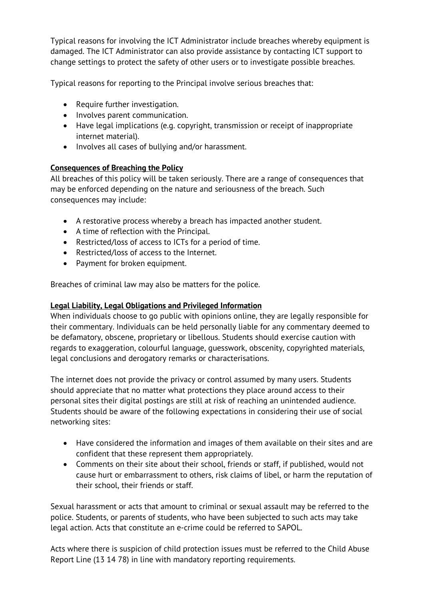Typical reasons for involving the ICT Administrator include breaches whereby equipment is damaged. The ICT Administrator can also provide assistance by contacting ICT support to change settings to protect the safety of other users or to investigate possible breaches.

Typical reasons for reporting to the Principal involve serious breaches that:

- Require further investigation.
- Involves parent communication.
- Have legal implications (e.g. copyright, transmission or receipt of inappropriate internet material).
- Involves all cases of bullying and/or harassment.

#### **Consequences of Breaching the Policy**

All breaches of this policy will be taken seriously. There are a range of consequences that may be enforced depending on the nature and seriousness of the breach. Such consequences may include:

- A restorative process whereby a breach has impacted another student.
- A time of reflection with the Principal.
- Restricted/loss of access to ICTs for a period of time.
- Restricted/loss of access to the Internet.
- Payment for broken equipment.

Breaches of criminal law may also be matters for the police.

#### **Legal Liability, Legal Obligations and Privileged Information**

When individuals choose to go public with opinions online, they are legally responsible for their commentary. Individuals can be held personally liable for any commentary deemed to be defamatory, obscene, proprietary or libellous. Students should exercise caution with regards to exaggeration, colourful language, guesswork, obscenity, copyrighted materials, legal conclusions and derogatory remarks or characterisations.

The internet does not provide the privacy or control assumed by many users. Students should appreciate that no matter what protections they place around access to their personal sites their digital postings are still at risk of reaching an unintended audience. Students should be aware of the following expectations in considering their use of social networking sites:

- Have considered the information and images of them available on their sites and are confident that these represent them appropriately.
- Comments on their site about their school, friends or staff, if published, would not cause hurt or embarrassment to others, risk claims of libel, or harm the reputation of their school, their friends or staff.

Sexual harassment or acts that amount to criminal or sexual assault may be referred to the police. Students, or parents of students, who have been subjected to such acts may take legal action. Acts that constitute an e-crime could be referred to SAPOL.

Acts where there is suspicion of child protection issues must be referred to the Child Abuse Report Line (13 14 78) in line with mandatory reporting requirements.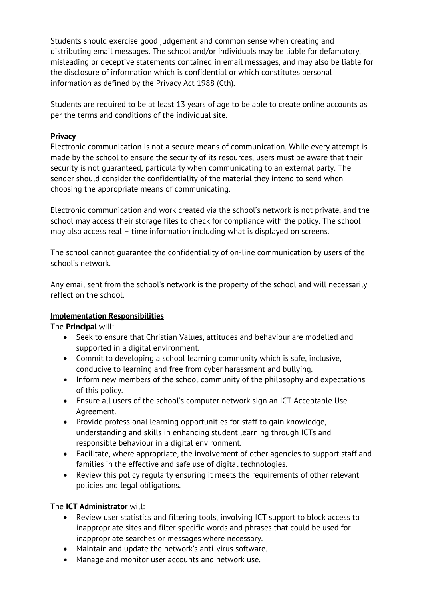Students should exercise good judgement and common sense when creating and distributing email messages. The school and/or individuals may be liable for defamatory, misleading or deceptive statements contained in email messages, and may also be liable for the disclosure of information which is confidential or which constitutes personal information as defined by the Privacy Act 1988 (Cth).

Students are required to be at least 13 years of age to be able to create online accounts as per the terms and conditions of the individual site.

## **Privacy**

Electronic communication is not a secure means of communication. While every attempt is made by the school to ensure the security of its resources, users must be aware that their security is not guaranteed, particularly when communicating to an external party. The sender should consider the confidentiality of the material they intend to send when choosing the appropriate means of communicating.

Electronic communication and work created via the school's network is not private, and the school may access their storage files to check for compliance with the policy. The school may also access real – time information including what is displayed on screens.

The school cannot guarantee the confidentiality of on-line communication by users of the school's network.

Any email sent from the school's network is the property of the school and will necessarily reflect on the school.

#### **Implementation Responsibilities**

The **Principal** will:

- Seek to ensure that Christian Values, attitudes and behaviour are modelled and supported in a digital environment.
- Commit to developing a school learning community which is safe, inclusive, conducive to learning and free from cyber harassment and bullying.
- Inform new members of the school community of the philosophy and expectations of this policy.
- Ensure all users of the school's computer network sign an ICT Acceptable Use Agreement.
- Provide professional learning opportunities for staff to gain knowledge, understanding and skills in enhancing student learning through ICTs and responsible behaviour in a digital environment.
- Facilitate, where appropriate, the involvement of other agencies to support staff and families in the effective and safe use of digital technologies.
- Review this policy regularly ensuring it meets the requirements of other relevant policies and legal obligations.

# The **ICT Administrator** will:

- Review user statistics and filtering tools, involving ICT support to block access to inappropriate sites and filter specific words and phrases that could be used for inappropriate searches or messages where necessary.
- Maintain and update the network's anti-virus software.
- Manage and monitor user accounts and network use.